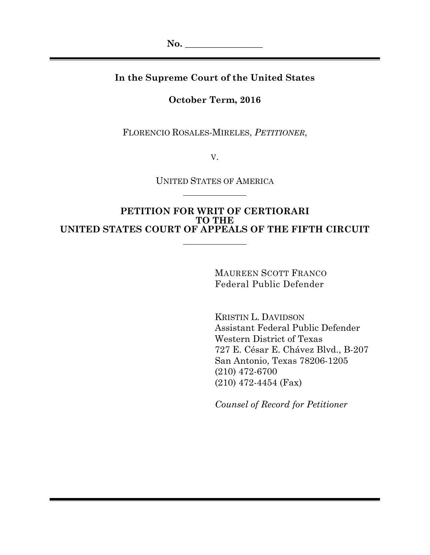### <span id="page-0-0"></span>**In the Supreme Court of the United States**

### **October Term, 2016**

FLORENCIO ROSALES-MIRELES, *PETITIONER*,

V.

UNITED STATES OF AMERICA

### **PETITION FOR WRIT OF CERTIORARI TO THE UNITED STATES COURT OF APPEALS OF THE FIFTH CIRCUIT**

MAUREEN SCOTT FRANCO Federal Public Defender

KRISTIN L. DAVIDSON Assistant Federal Public Defender Western District of Texas 727 E. César E. Chávez Blvd., B-207 San Antonio, Texas 78206-1205 (210) 472-6700 (210) 472-4454 (Fax)

*Counsel of Record for Petitioner*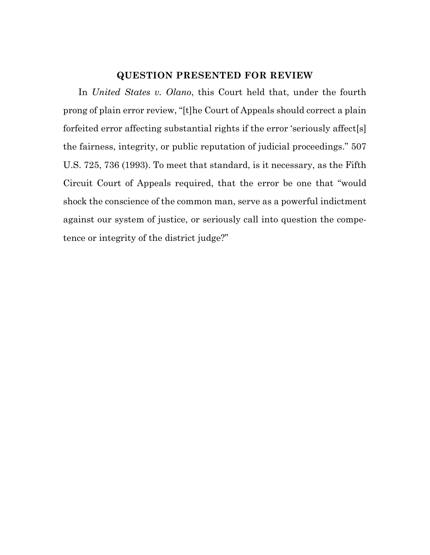# **QUESTION PRESENTED FOR REVIEW**

In *United States v. Olano*, this Court held that, under the fourth prong of plain error review, "[t]he Court of Appeals should correct a plain forfeited error affecting substantial rights if the error 'seriously affect[s] the fairness, integrity, or public reputation of judicial proceedings." 507 U.S. 725, 736 (1993). To meet that standard, is it necessary, as the Fifth Circuit Court of Appeals required, that the error be one that "would shock the conscience of the common man, serve as a powerful indictment against our system of justice, or seriously call into question the competence or integrity of the district judge?"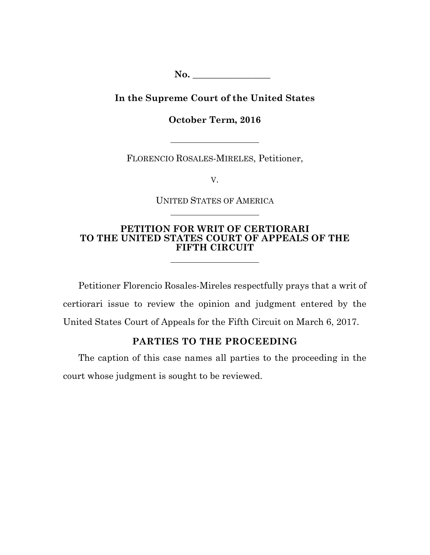**No. \_\_\_\_\_\_\_\_\_\_\_\_\_\_\_\_\_**

<span id="page-2-0"></span>**In the Supreme Court of the United States**

**October Term, 2016**

FLORENCIO ROSALES-MIRELES, Petitioner,

V.

UNITED STATES OF AMERICA

### **PETITION FOR WRIT OF CERTIORARI TO THE UNITED STATES COURT OF APPEALS OF THE FIFTH CIRCUIT**

Petitioner Florencio Rosales-Mireles respectfully prays that a writ of certiorari issue to review the opinion and judgment entered by the United States Court of Appeals for the Fifth Circuit on March 6, 2017.

## **PARTIES TO THE PROCEEDING**

The caption of this case names all parties to the proceeding in the court whose judgment is sought to be reviewed.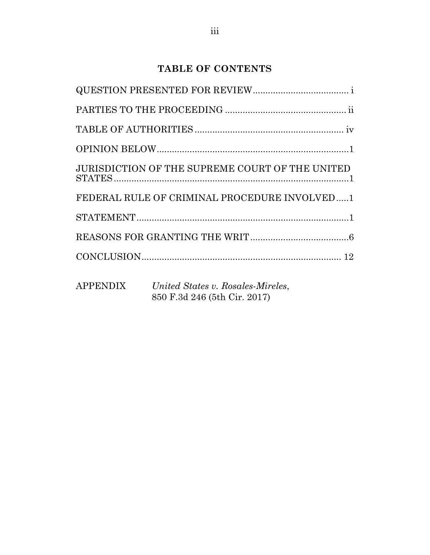## **TABLE OF CONTENTS**

| JURISDICTION OF THE SUPREME COURT OF THE UNITED |
|-------------------------------------------------|
| FEDERAL RULE OF CRIMINAL PROCEDURE INVOLVED1    |
|                                                 |
|                                                 |
|                                                 |
|                                                 |

<span id="page-3-0"></span>APPENDIX *United States v. Rosales-Mireles*, 850 F.3d 246 (5th Cir. 2017)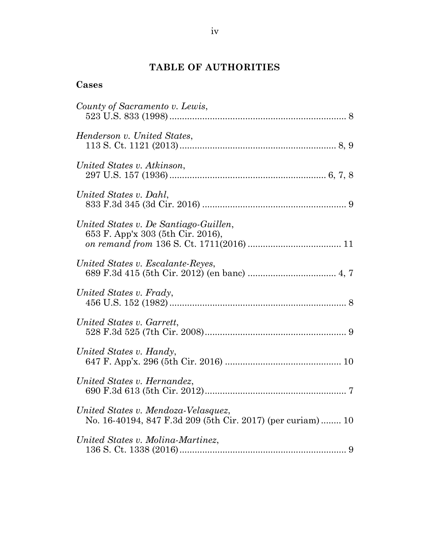# **TABLE OF AUTHORITIES**

# **Cases**

| County of Sacramento v. Lewis,                                                                    |
|---------------------------------------------------------------------------------------------------|
| Henderson v. United States,                                                                       |
| United States v. Atkinson,                                                                        |
| United States v. Dahl,                                                                            |
| United States v. De Santiago-Guillen,<br>653 F. App'x 303 (5th Cir. 2016),                        |
| United States v. Escalante-Reyes,                                                                 |
| United States v. Frady,                                                                           |
| United States v. Garrett,                                                                         |
| United States v. Handy,                                                                           |
| United States v. Hernandez,                                                                       |
| United States v. Mendoza-Velasquez,<br>No. 16-40194, 847 F.3d 209 (5th Cir. 2017) (per curiam) 10 |
| United States v. Molina-Martinez,                                                                 |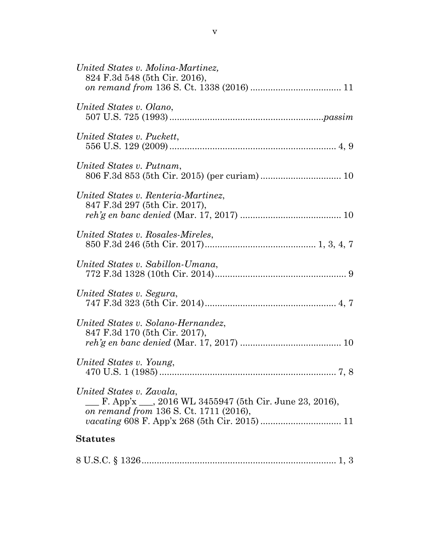<span id="page-5-0"></span>

| United States v. Molina-Martinez,<br>824 F.3d 548 (5th Cir. 2016),                                                            |
|-------------------------------------------------------------------------------------------------------------------------------|
| United States v. Olano,                                                                                                       |
| United States v. Puckett,                                                                                                     |
| United States v. Putnam,                                                                                                      |
| United States v. Renteria-Martinez,<br>847 F.3d 297 (5th Cir. 2017),                                                          |
| United States v. Rosales-Mireles,                                                                                             |
| United States v. Sabillon-Umana,                                                                                              |
| United States v. Segura,                                                                                                      |
| United States v. Solano-Hernandez,<br>847 F.3d 170 (5th Cir. 2017),                                                           |
| United States v. Young,                                                                                                       |
| United States v. Zavala,<br>F. App'x ___, 2016 WL 3455947 (5th Cir. June 23, 2016),<br>on remand from 136 S. Ct. 1711 (2016), |
| <b>Statutes</b>                                                                                                               |
|                                                                                                                               |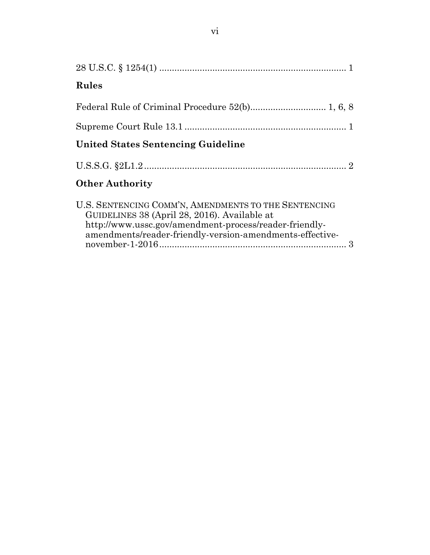| Rules                                                                                                                                                                                                                      |
|----------------------------------------------------------------------------------------------------------------------------------------------------------------------------------------------------------------------------|
|                                                                                                                                                                                                                            |
|                                                                                                                                                                                                                            |
| <b>United States Sentencing Guideline</b>                                                                                                                                                                                  |
|                                                                                                                                                                                                                            |
| <b>Other Authority</b>                                                                                                                                                                                                     |
| U.S. SENTENCING COMM'N, AMENDMENTS TO THE SENTENCING<br>GUIDELINES 38 (April 28, 2016). Available at<br>http://www.ussc.gov/amendment-process/reader-friendly-<br>amendments/reader-friendly-version-amendments-effective- |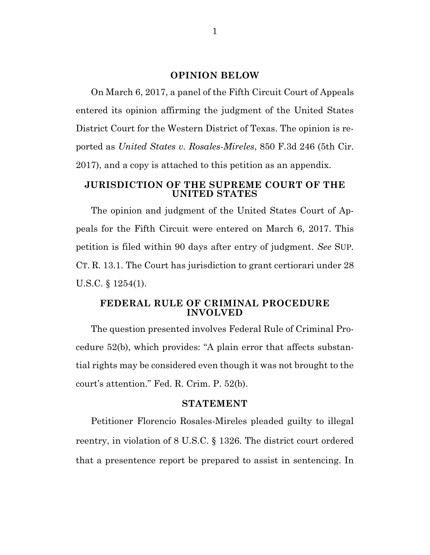#### **OPINION BELOW**

On March 6, 2017, a panel of the Fifth Circuit Court of Appeals entered its opinion affirming the judgment of the United States District Court for the Western District of Texas. The opinion is reported as *United States v. Rosales-Mireles*, 850 F.3d 246 (5th Cir. 2017), and a copy is attached to this petition as an appendix.

### **JURISDICTION OF THE SUPREME COURT OF THE UNITED STATES**

The opinion and judgment of the United States Court of Appeals for the Fifth Circuit were entered on March 6, 2017. This petition is filed within 90 days after entry of judgment. *See* SUP. CT. R. 13.1. The Court has jurisdiction to grant certiorari under 28 U.S.C. § 1254(1).

### **FEDERAL RULE OF CRIMINAL PROCEDURE INVOLVED**

The question presented involves Federal Rule of Criminal Procedure 52(b), which provides: "A plain error that affects substantial rights may be considered even though it was not brought to the court's attention." Fed. R. Crim. P. 52(b).

#### **STATEMENT**

Petitioner Florencio Rosales-Mireles pleaded guilty to illegal reentry, in violation of 8 U.S.C. § 1326. The district court ordered that a presentence report be prepared to assist in sentencing. In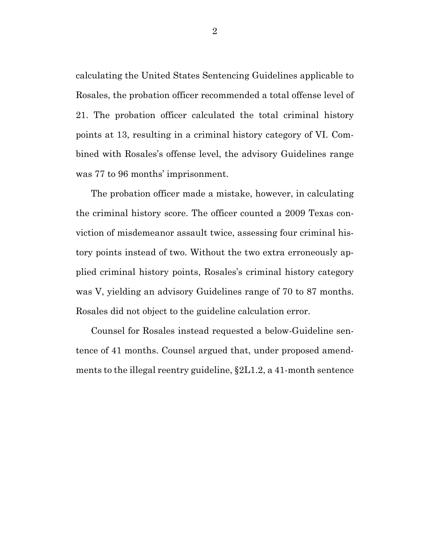<span id="page-8-0"></span>calculating the United States Sentencing Guidelines applicable to Rosales, the probation officer recommended a total offense level of 21. The probation officer calculated the total criminal history points at 13, resulting in a criminal history category of VI. Combined with Rosales's offense level, the advisory Guidelines range was 77 to 96 months' imprisonment.

<span id="page-8-1"></span>The probation officer made a mistake, however, in calculating the criminal history score. The officer counted a 2009 Texas conviction of misdemeanor assault twice, assessing four criminal history points instead of two. Without the two extra erroneously applied criminal history points, Rosales's criminal history category was V, yielding an advisory Guidelines range of 70 to 87 months. Rosales did not object to the guideline calculation error.

<span id="page-8-3"></span><span id="page-8-2"></span>Counsel for Rosales instead requested a below-Guideline sentence of 41 months. Counsel argued that, under proposed amendments to the illegal reentry guideline, §2L1.2, a 41-month sentence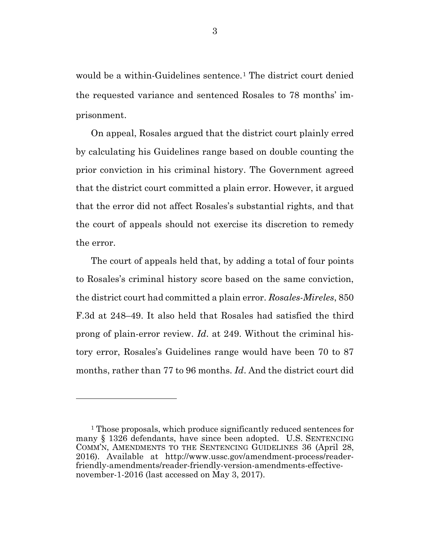would be a within-Guidelines sentence.<sup>[1](#page-10-0)</sup> The district court denied the requested variance and sentenced Rosales to 78 months' imprisonment.

On appeal, Rosales argued that the district court plainly erred by calculating his Guidelines range based on double counting the prior conviction in his criminal history. The Government agreed that the district court committed a plain error. However, it argued that the error did not affect Rosales's substantial rights, and that the court of appeals should not exercise its discretion to remedy the error.

The court of appeals held that, by adding a total of four points to Rosales's criminal history score based on the same conviction, the district court had committed a plain error. *Rosales-Mireles*, 850 F.3d at 248–49. It also held that Rosales had satisfied the third prong of plain-error review. *Id*. at 249. Without the criminal history error, Rosales's Guidelines range would have been 70 to 87 months, rather than 77 to 96 months. *Id*. And the district court did

<sup>1</sup> Those proposals, which produce significantly reduced sentences for many § 1326 defendants, have since been adopted. U.S. SENTENCING COMM'N, AMENDMENTS TO THE SENTENCING GUIDELINES 36 (April 28, 2016). Available at http://www.ussc.gov/amendment-process/readerfriendly-amendments/reader-friendly-version-amendments-effectivenovember-1-2016 (last accessed on May 3, 2017).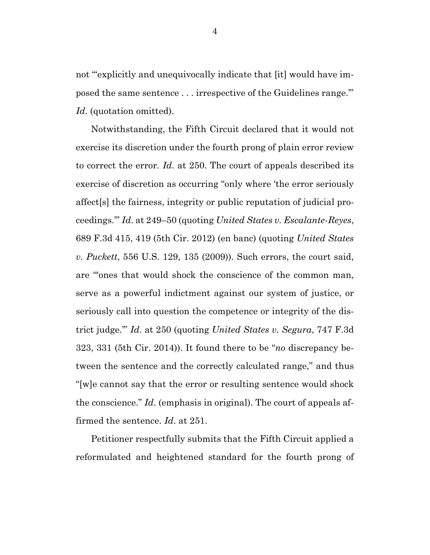not "explicitly and unequivocally indicate that [it] would have imposed the same sentence . . . irrespective of the Guidelines range.'" *Id*. (quotation omitted).

Notwithstanding, the Fifth Circuit declared that it would not exercise its discretion under the fourth prong of plain error review to correct the error. *Id*. at 250. The court of appeals described its exercise of discretion as occurring "only where 'the error seriously affect[s] the fairness, integrity or public reputation of judicial proceedings.'" *Id*. at 249–50 (quoting *United States v. Escalante-Reyes*, 689 F.3d 415, 419 (5th Cir. 2012) (en banc) (quoting *United States v. Puckett*, 556 U.S. 129, 135 (2009)). Such errors, the court said, are "'ones that would shock the conscience of the common man, serve as a powerful indictment against our system of justice, or seriously call into question the competence or integrity of the district judge.'" *Id*. at 250 (quoting *United States v. Segura*, 747 F.3d 323, 331 (5th Cir. 2014)). It found there to be "*no* discrepancy between the sentence and the correctly calculated range," and thus "[w]e cannot say that the error or resulting sentence would shock the conscience." *Id*. (emphasis in original). The court of appeals affirmed the sentence. *Id*. at 251.

<span id="page-10-0"></span>Petitioner respectfully submits that the Fifth Circuit applied a reformulated and heightened standard for the fourth prong of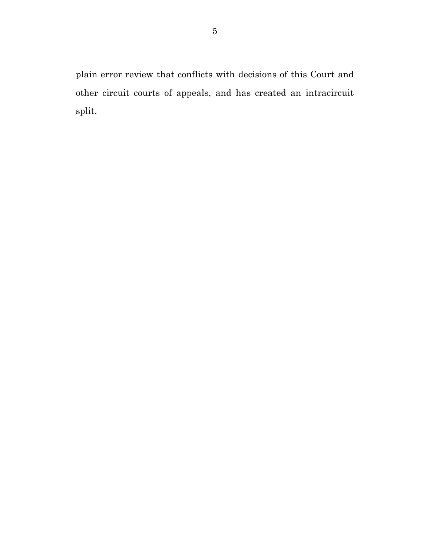plain error review that conflicts with decisions of this Court and other circuit courts of appeals, and has created an intracircuit split.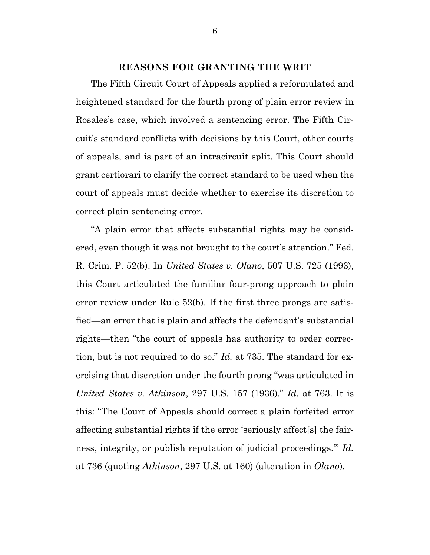### **REASONS FOR GRANTING THE WRIT**

The Fifth Circuit Court of Appeals applied a reformulated and heightened standard for the fourth prong of plain error review in Rosales's case, which involved a sentencing error. The Fifth Circuit's standard conflicts with decisions by this Court, other courts of appeals, and is part of an intracircuit split. This Court should grant certiorari to clarify the correct standard to be used when the court of appeals must decide whether to exercise its discretion to correct plain sentencing error.

"A plain error that affects substantial rights may be considered, even though it was not brought to the court's attention." Fed. R. Crim. P. 52(b). In *United States v. Olano*, 507 U.S. 725 (1993), this Court articulated the familiar four-prong approach to plain error review under Rule 52(b). If the first three prongs are satisfied—an error that is plain and affects the defendant's substantial rights—then "the court of appeals has authority to order correction, but is not required to do so." *Id.* at 735. The standard for exercising that discretion under the fourth prong "was articulated in *United States v. Atkinson*, 297 U.S. 157 (1936)." *Id.* at 763. It is this: "The Court of Appeals should correct a plain forfeited error affecting substantial rights if the error 'seriously affect[s] the fairness, integrity, or publish reputation of judicial proceedings.'" *Id.* at 736 (quoting *Atkinson*, 297 U.S. at 160) (alteration in *Olano*).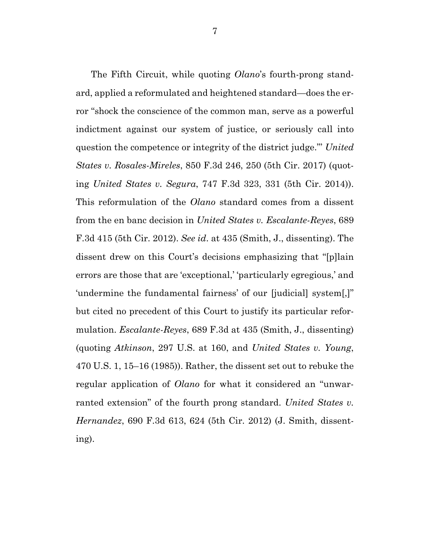<span id="page-13-0"></span>The Fifth Circuit, while quoting *Olano*'s fourth-prong standard, applied a reformulated and heightened standard—does the error "shock the conscience of the common man, serve as a powerful indictment against our system of justice, or seriously call into question the competence or integrity of the district judge."' *United States v. Rosales-Mireles*, 850 F.3d 246, 250 (5th Cir. 2017) (quoting *United States v. Segura*, 747 F.3d 323, 331 (5th Cir. 2014)). This reformulation of the *Olano* standard comes from a dissent from the en banc decision in *United States v. Escalante-Reyes*, 689 F.3d 415 (5th Cir. 2012). *See id*. at 435 (Smith, J., dissenting). The dissent drew on this Court's decisions emphasizing that "[p]lain errors are those that are 'exceptional,' 'particularly egregious,' and 'undermine the fundamental fairness' of our [judicial] system[,]" but cited no precedent of this Court to justify its particular reformulation. *Escalante-Reyes*, 689 F.3d at 435 (Smith, J., dissenting) (quoting *Atkinson*, 297 U.S. at 160, and *United States v. Young*, 470 U.S. 1, 15–16 (1985)). Rather, the dissent set out to rebuke the regular application of *Olano* for what it considered an "unwarranted extension" of the fourth prong standard. *United States v. Hernandez*, 690 F.3d 613, 624 (5th Cir. 2012) (J. Smith, dissenting).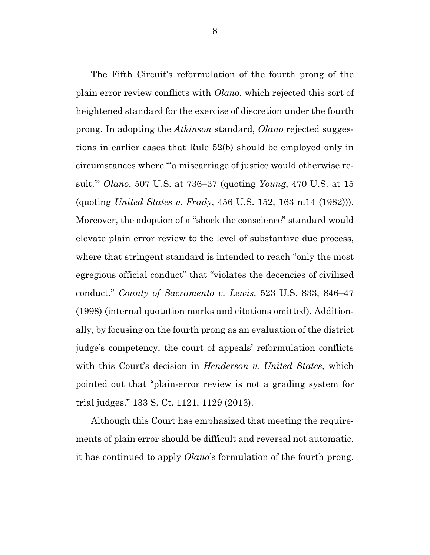The Fifth Circuit's reformulation of the fourth prong of the plain error review conflicts with *Olano*, which rejected this sort of heightened standard for the exercise of discretion under the fourth prong. In adopting the *Atkinson* standard, *Olano* rejected suggestions in earlier cases that Rule 52(b) should be employed only in circumstances where "'a miscarriage of justice would otherwise result.'" *Olano*, 507 U.S. at 736–37 (quoting *Young*, 470 U.S. at 15 (quoting *United States v. Frady*, 456 U.S. 152, 163 n.14 (1982))). Moreover, the adoption of a "shock the conscience" standard would elevate plain error review to the level of substantive due process, where that stringent standard is intended to reach "only the most egregious official conduct" that "violates the decencies of civilized conduct." *County of Sacramento v. Lewis*, 523 U.S. 833, 846–47 (1998) (internal quotation marks and citations omitted). Additionally, by focusing on the fourth prong as an evaluation of the district judge's competency, the court of appeals' reformulation conflicts with this Court's decision in *Henderson v. United States*, which pointed out that "plain-error review is not a grading system for trial judges." 133 S. Ct. 1121, 1129 (2013).

Although this Court has emphasized that meeting the requirements of plain error should be difficult and reversal not automatic, it has continued to apply *Olano*'s formulation of the fourth prong.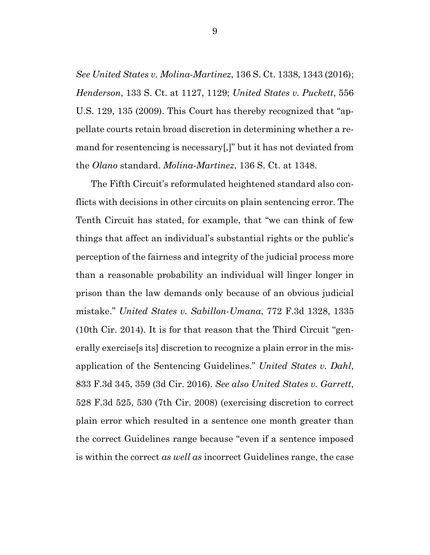*See United States v. Molina-Martinez*, 136 S. Ct. 1338, 1343 (2016); *Henderson*, 133 S. Ct. at 1127, 1129; *United States v. Puckett*, 556 U.S. 129, 135 (2009). This Court has thereby recognized that "appellate courts retain broad discretion in determining whether a remand for resentencing is necessary[,]" but it has not deviated from the *Olano* standard. *Molina-Martinez*, 136 S. Ct. at 1348.

The Fifth Circuit's reformulated heightened standard also conflicts with decisions in other circuits on plain sentencing error. The Tenth Circuit has stated, for example, that "we can think of few things that affect an individual's substantial rights or the public's perception of the fairness and integrity of the judicial process more than a reasonable probability an individual will linger longer in prison than the law demands only because of an obvious judicial mistake." *United States v. Sabillon-Umana*, 772 F.3d 1328, 1335 (10th Cir. 2014). It is for that reason that the Third Circuit "generally exercise[s its] discretion to recognize a plain error in the misapplication of the Sentencing Guidelines." *United States v. Dahl*, 833 F.3d 345, 359 (3d Cir. 2016). *See also United States v. Garrett*, 528 F.3d 525, 530 (7th Cir. 2008) (exercising discretion to correct plain error which resulted in a sentence one month greater than the correct Guidelines range because "even if a sentence imposed is within the correct *as well as* incorrect Guidelines range, the case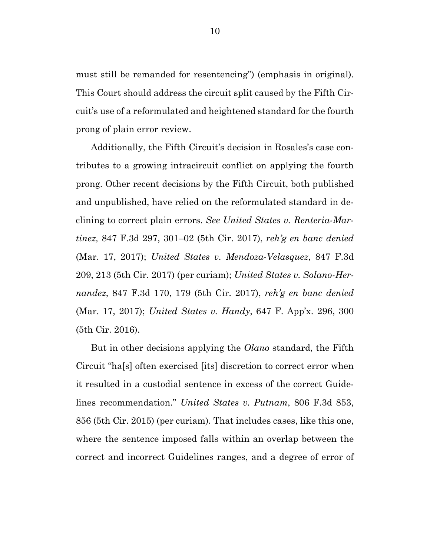must still be remanded for resentencing") (emphasis in original). This Court should address the circuit split caused by the Fifth Circuit's use of a reformulated and heightened standard for the fourth prong of plain error review.

Additionally, the Fifth Circuit's decision in Rosales's case contributes to a growing intracircuit conflict on applying the fourth prong. Other recent decisions by the Fifth Circuit, both published and unpublished, have relied on the reformulated standard in declining to correct plain errors. *See United States v. Renteria-Martinez,* 847 F.3d 297, 301–02 (5th Cir. 2017), *reh'g en banc denied* (Mar. 17, 2017); *United States v. Mendoza-Velasquez*, 847 F.3d 209, 213 (5th Cir. 2017) (per curiam); *United States v. Solano-Hernandez*, 847 F.3d 170, 179 (5th Cir. 2017), *reh'g en banc denied* (Mar. 17, 2017); *United States v. Handy*, 647 F. App'x. 296, 300 (5th Cir. 2016).

But in other decisions applying the *Olano* standard, the Fifth Circuit "ha[s] often exercised [its] discretion to correct error when it resulted in a custodial sentence in excess of the correct Guidelines recommendation." *United States v. Putnam*, 806 F.3d 853, 856 (5th Cir. 2015) (per curiam). That includes cases, like this one, where the sentence imposed falls within an overlap between the correct and incorrect Guidelines ranges, and a degree of error of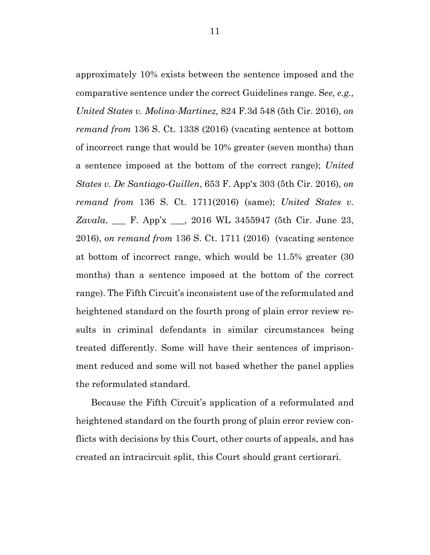approximately 10% exists between the sentence imposed and the comparative sentence under the correct Guidelines range. S*ee, e.g., United States v. Molina-Martinez,* 824 F.3d 548 (5th Cir. 2016), *on remand from* 136 S. Ct. 1338 (2016) (vacating sentence at bottom of incorrect range that would be 10% greater (seven months) than a sentence imposed at the bottom of the correct range); *United States v. De Santiago-Guillen*, 653 F. App'x 303 (5th Cir. 2016), *on remand from* 136 S. Ct. 1711(2016) (same); *United States v. Zavala*, \_\_\_ F. App'x \_\_\_, 2016 WL 3455947 (5th Cir. June 23, 2016), *on remand from* 136 S. Ct. 1711 (2016) (vacating sentence at bottom of incorrect range, which would be 11.5% greater (30 months) than a sentence imposed at the bottom of the correct range). The Fifth Circuit's inconsistent use of the reformulated and heightened standard on the fourth prong of plain error review results in criminal defendants in similar circumstances being treated differently. Some will have their sentences of imprisonment reduced and some will not based whether the panel applies the reformulated standard.

Because the Fifth Circuit's application of a reformulated and heightened standard on the fourth prong of plain error review conflicts with decisions by this Court, other courts of appeals, and has created an intracircuit split, this Court should grant certiorari.